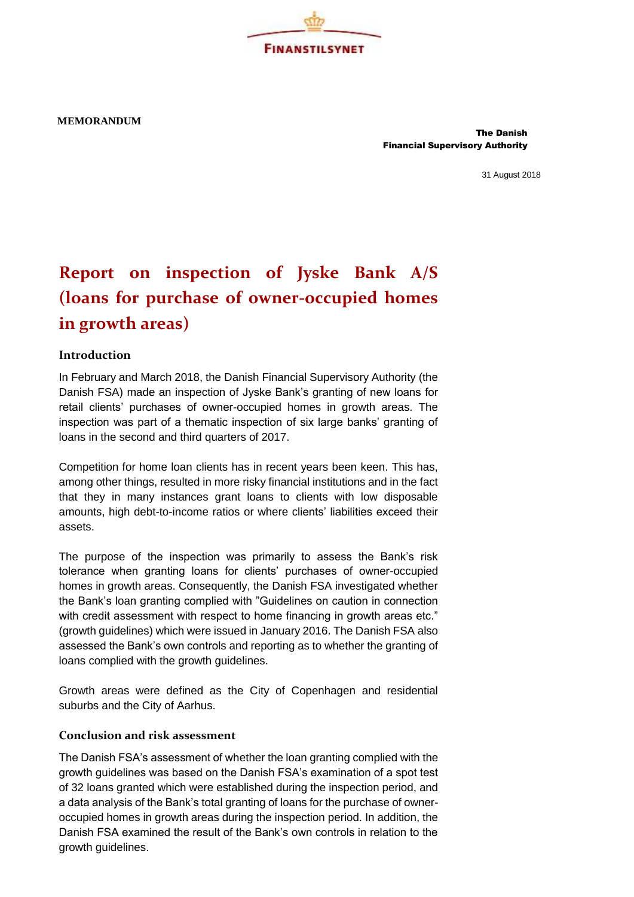**MEMORANDUM**

 The Danish Financial Supervisory Authority

31 August 2018

## **Report on inspection of Jyske Bank A/S (loans for purchase of owner-occupied homes in growth areas)**

**FINANSTILSYNET** 

## **Introduction**

In February and March 2018, the Danish Financial Supervisory Authority (the Danish FSA) made an inspection of Jyske Bank's granting of new loans for retail clients' purchases of owner-occupied homes in growth areas. The inspection was part of a thematic inspection of six large banks' granting of loans in the second and third quarters of 2017.

Competition for home loan clients has in recent years been keen. This has, among other things, resulted in more risky financial institutions and in the fact that they in many instances grant loans to clients with low disposable amounts, high debt-to-income ratios or where clients' liabilities exceed their assets.

The purpose of the inspection was primarily to assess the Bank's risk tolerance when granting loans for clients' purchases of owner-occupied homes in growth areas. Consequently, the Danish FSA investigated whether the Bank's loan granting complied with "Guidelines on caution in connection with credit assessment with respect to home financing in growth areas etc." (growth guidelines) which were issued in January 2016. The Danish FSA also assessed the Bank's own controls and reporting as to whether the granting of loans complied with the growth guidelines.

Growth areas were defined as the City of Copenhagen and residential suburbs and the City of Aarhus.

## **Conclusion and risk assessment**

The Danish FSA's assessment of whether the loan granting complied with the growth guidelines was based on the Danish FSA's examination of a spot test of 32 loans granted which were established during the inspection period, and a data analysis of the Bank's total granting of loans for the purchase of owneroccupied homes in growth areas during the inspection period. In addition, the Danish FSA examined the result of the Bank's own controls in relation to the growth guidelines.